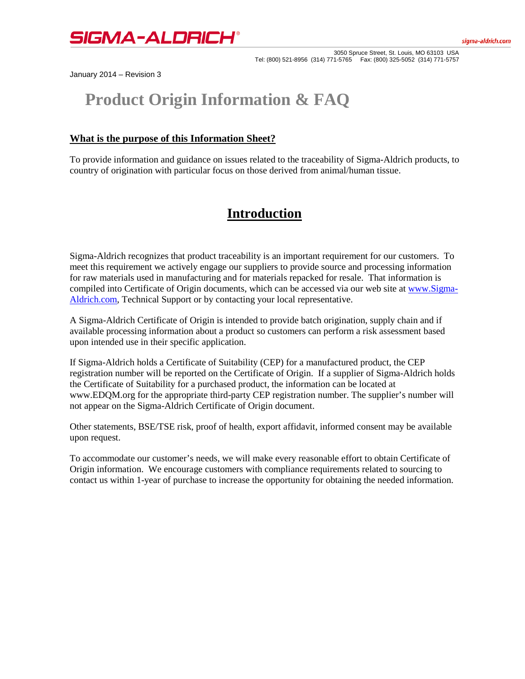

3050 Spruce Street, St. Louis, MO 63103 USA Tel: (800) 521-8956 (314) 771-5765 Fax: (800) 325-5052 (314) 771-5757

January 2014 – Revision 3

# **Product Origin Information & FAQ**

### **What is the purpose of this Information Sheet?**

To provide information and guidance on issues related to the traceability of Sigma-Aldrich products, to country of origination with particular focus on those derived from animal/human tissue.

## **Introduction**

Sigma-Aldrich recognizes that product traceability is an important requirement for our customers. To meet this requirement we actively engage our suppliers to provide source and processing information for raw materials used in manufacturing and for materials repacked for resale. That information is compiled into Certificate of Origin documents, which can be accessed via our web site at [www.Sigma-](http://www.sigma-aldrich.com/)[Aldrich.com,](http://www.sigma-aldrich.com/) Technical Support or by contacting your local representative.

A Sigma-Aldrich Certificate of Origin is intended to provide batch origination, supply chain and if available processing information about a product so customers can perform a risk assessment based upon intended use in their specific application.

If Sigma-Aldrich holds a Certificate of Suitability (CEP) for a manufactured product, the CEP registration number will be reported on the Certificate of Origin. If a supplier of Sigma-Aldrich holds the Certificate of Suitability for a purchased product, the information can be located at www.EDQM.org for the appropriate third-party CEP registration number. The supplier's number will not appear on the Sigma-Aldrich Certificate of Origin document.

Other statements, BSE/TSE risk, proof of health, export affidavit, informed consent may be available upon request.

To accommodate our customer's needs, we will make every reasonable effort to obtain Certificate of Origin information. We encourage customers with compliance requirements related to sourcing to contact us within 1-year of purchase to increase the opportunity for obtaining the needed information.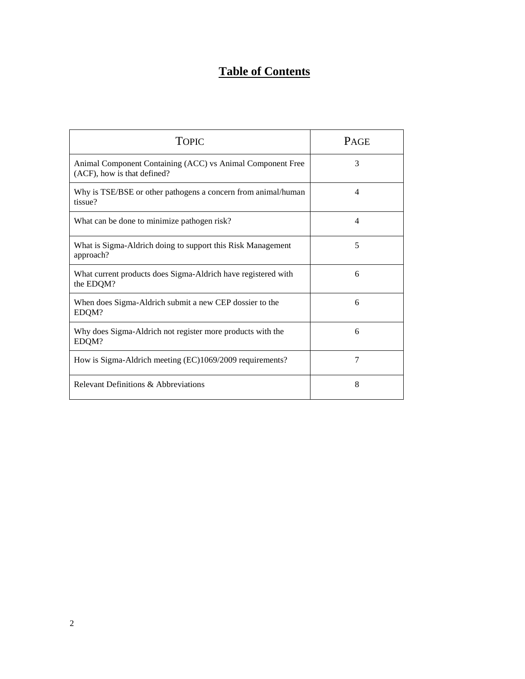## **Table of Contents**

| <b>TOPIC</b>                                                                              | <b>PAGE</b>    |
|-------------------------------------------------------------------------------------------|----------------|
| Animal Component Containing (ACC) vs Animal Component Free<br>(ACF), how is that defined? | 3              |
| Why is TSE/BSE or other pathogens a concern from animal/human<br>tissue?                  | 4              |
| What can be done to minimize pathogen risk?                                               | 4              |
| What is Sigma-Aldrich doing to support this Risk Management<br>approach?                  | 5              |
| What current products does Sigma-Aldrich have registered with<br>the EDQM?                | 6              |
| When does Sigma-Aldrich submit a new CEP dossier to the<br>EDQM?                          | 6              |
| Why does Sigma-Aldrich not register more products with the<br>EDQM?                       | 6              |
| How is Sigma-Aldrich meeting (EC)1069/2009 requirements?                                  | $\overline{7}$ |
| Relevant Definitions & Abbreviations                                                      | 8              |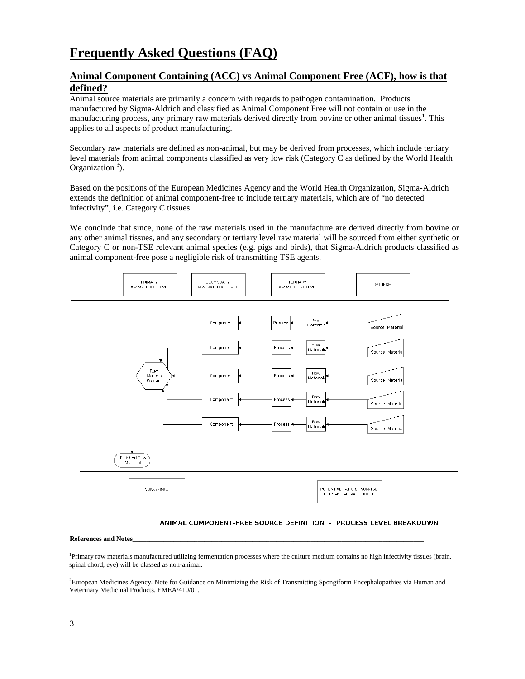## **Frequently Asked Questions (FAQ)**

## **Animal Component Containing (ACC) vs Animal Component Free (ACF), how is that defined?**

Animal source materials are primarily a concern with regards to pathogen contamination. Products manufactured by Sigma-Aldrich and classified as Animal Component Free will not contain or use in the manufacturing process, any primary raw materials derived directly from bovine or other animal tissues<sup>1</sup>. This applies to all aspects of product manufacturing.

Secondary raw materials are defined as non-animal, but may be derived from processes, which include tertiary level materials from animal components classified as very low risk (Category C as defined by the World Health Organization  $3$ ).

Based on the positions of the European Medicines Agency and the World Health Organization, Sigma-Aldrich extends the definition of animal component-free to include tertiary materials, which are of "no detected infectivity", i.e. Category C tissues.

We conclude that since, none of the raw materials used in the manufacture are derived directly from bovine or any other animal tissues, and any secondary or tertiary level raw material will be sourced from either synthetic or Category C or non-TSE relevant animal species (e.g. pigs and birds), that Sigma-Aldrich products classified as animal component-free pose a negligible risk of transmitting TSE agents.



ANIMAL COMPONENT-FREE SOURCE DEFINITION - PROCESS LEVEL BREAKDOWN

#### **References and Notes**\_\_\_\_\_\_\_\_\_\_\_\_\_\_\_\_\_\_\_\_\_\_\_\_\_\_\_\_\_\_\_\_\_\_\_\_\_\_\_\_\_\_\_\_\_\_\_\_\_\_\_\_\_\_\_\_\_\_\_\_\_\_\_\_\_\_\_\_\_\_\_\_\_\_\_\_\_\_\_\_\_\_\_\_\_

<sup>1</sup>Primary raw materials manufactured utilizing fermentation processes where the culture medium contains no high infectivity tissues (brain, spinal chord, eye) will be classed as non-animal.

2 European Medicines Agency. Note for Guidance on Minimizing the Risk of Transmitting Spongiform Encephalopathies via Human and Veterinary Medicinal Products. EMEA/410/01.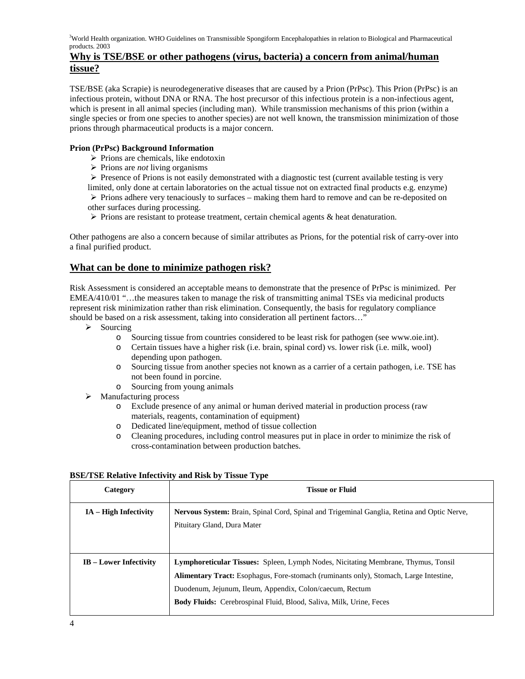<sup>3</sup>World Health organization. WHO Guidelines on Transmissible Spongiform Encephalopathies in relation to Biological and Pharmaceutical products. 2003

## **Why is TSE/BSE or other pathogens (virus, bacteria) a concern from animal/human tissue?**

TSE/BSE (aka Scrapie) is neurodegenerative diseases that are caused by a Prion (PrPsc). This Prion (PrPsc) is an infectious protein, without DNA or RNA. The host precursor of this infectious protein is a non-infectious agent, which is present in all animal species (including man). While transmission mechanisms of this prion (within a single species or from one species to another species) are not well known, the transmission minimization of those prions through pharmaceutical products is a major concern.

#### **Prion (PrPsc) Background Information**

- $\triangleright$  Prions are chemicals, like endotoxin
- Prions are *not* living organisms

 Presence of Prions is not easily demonstrated with a diagnostic test (current available testing is very limited, only done at certain laboratories on the actual tissue not on extracted final products e.g. enzyme)  $\triangleright$  Prions adhere very tenaciously to surfaces – making them hard to remove and can be re-deposited on

- other surfaces during processing.
- $\triangleright$  Prions are resistant to protease treatment, certain chemical agents & heat denaturation.

Other pathogens are also a concern because of similar attributes as Prions, for the potential risk of carry-over into a final purified product.

## **What can be done to minimize pathogen risk?**

Risk Assessment is considered an acceptable means to demonstrate that the presence of PrPsc is minimized. Per EMEA/410/01 "…the measures taken to manage the risk of transmitting animal TSEs via medicinal products represent risk minimization rather than risk elimination. Consequently, the basis for regulatory compliance should be based on a risk assessment, taking into consideration all pertinent factors…"

- $\triangleright$  Sourcing
	- o Sourcing tissue from countries considered to be least risk for pathogen (see www.oie.int).
	- o Certain tissues have a higher risk (i.e. brain, spinal cord) vs. lower risk (i.e. milk, wool) depending upon pathogen.
	- o Sourcing tissue from another species not known as a carrier of a certain pathogen, i.e. TSE has not been found in porcine.
	- o Sourcing from young animals
- $\triangleright$  Manufacturing process
	- o Exclude presence of any animal or human derived material in production process (raw materials, reagents, contamination of equipment)
	- o Dedicated line/equipment, method of tissue collection
	- o Cleaning procedures, including control measures put in place in order to minimize the risk of cross-contamination between production batches.

| Category                      | <b>Tissue or Fluid</b>                                                                                                                                                                                                                                                                                                             |
|-------------------------------|------------------------------------------------------------------------------------------------------------------------------------------------------------------------------------------------------------------------------------------------------------------------------------------------------------------------------------|
| $IA - High Infectivity$       | Nervous System: Brain, Spinal Cord, Spinal and Trigeminal Ganglia, Retina and Optic Nerve,<br>Pituitary Gland, Dura Mater                                                                                                                                                                                                          |
| <b>IB</b> – Lower Infectivity | <b>Lymphoreticular Tissues:</b> Spleen, Lymph Nodes, Nicitating Membrane, Thymus, Tonsil<br><b>Alimentary Tract:</b> Esophagus, Fore-stomach (ruminants only), Stomach, Large Intestine,<br>Duodenum, Jejunum, Ileum, Appendix, Colon/caecum, Rectum<br><b>Body Fluids:</b> Cerebrospinal Fluid, Blood, Saliva, Milk, Urine, Feces |

#### **BSE/TSE Relative Infectivity and Risk by Tissue Type**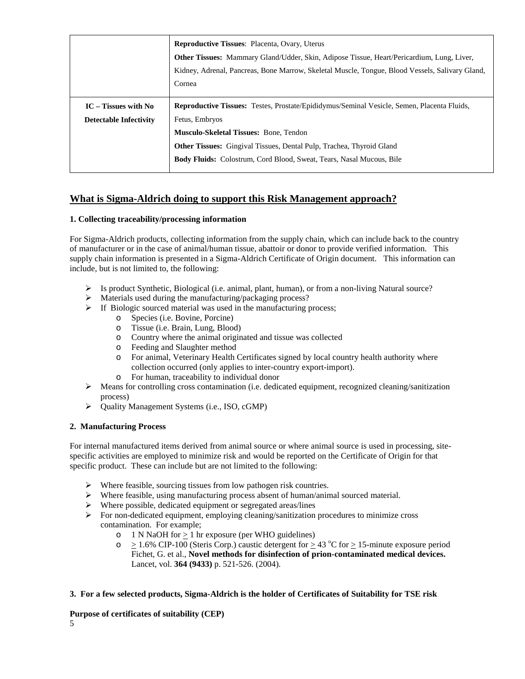|                               | <b>Reproductive Tissues: Placenta, Ovary, Uterus</b>                                              |  |
|-------------------------------|---------------------------------------------------------------------------------------------------|--|
|                               | Other Tissues: Mammary Gland/Udder, Skin, Adipose Tissue, Heart/Pericardium, Lung, Liver,         |  |
|                               | Kidney, Adrenal, Pancreas, Bone Marrow, Skeletal Muscle, Tongue, Blood Vessels, Salivary Gland,   |  |
|                               | Cornea                                                                                            |  |
|                               |                                                                                                   |  |
| $IC$ – Tissues with No        | <b>Reproductive Tissues:</b> Testes, Prostate/Epididymus/Seminal Vesicle, Semen, Placenta Fluids, |  |
| <b>Detectable Infectivity</b> | Fetus, Embryos                                                                                    |  |
|                               | <b>Musculo-Skeletal Tissues: Bone, Tendon</b>                                                     |  |
|                               | <b>Other Tissues:</b> Gingival Tissues, Dental Pulp, Trachea, Thyroid Gland                       |  |
|                               | <b>Body Fluids:</b> Colostrum, Cord Blood, Sweat, Tears, Nasal Mucous, Bile                       |  |
|                               |                                                                                                   |  |

## **What is Sigma-Aldrich doing to support this Risk Management approach?**

#### **1. Collecting traceability/processing information**

For Sigma-Aldrich products, collecting information from the supply chain, which can include back to the country of manufacturer or in the case of animal/human tissue, abattoir or donor to provide verified information. This supply chain information is presented in a Sigma-Aldrich Certificate of Origin document. This information can include, but is not limited to, the following:

- $\triangleright$  Is product Synthetic, Biological (i.e. animal, plant, human), or from a non-living Natural source?
- $\triangleright$  Materials used during the manufacturing/packaging process?
- $\triangleright$  If Biologic sourced material was used in the manufacturing process;
	- o Species (i.e. Bovine, Porcine)
	- o Tissue (i.e. Brain, Lung, Blood)
	- o Country where the animal originated and tissue was collected
	- o Feeding and Slaughter method<br>
	o For animal, Veterinary Health (
	- For animal, Veterinary Health Certificates signed by local country health authority where collection occurred (only applies to inter-country export-import).
	- o For human, traceability to individual donor
- Means for controlling cross contamination (i.e. dedicated equipment, recognized cleaning/sanitization process)
- Quality Management Systems (i.e., ISO, cGMP)

#### **2. Manufacturing Process**

For internal manufactured items derived from animal source or where animal source is used in processing, sitespecific activities are employed to minimize risk and would be reported on the Certificate of Origin for that specific product. These can include but are not limited to the following:

- $\triangleright$  Where feasible, sourcing tissues from low pathogen risk countries.
- $\triangleright$  Where feasible, using manufacturing process absent of human/animal sourced material.
- $\triangleright$  Where possible, dedicated equipment or segregated areas/lines
- $\triangleright$  For non-dedicated equipment, employing cleaning/sanitization procedures to minimize cross contamination. For example;
	- o 1 N NaOH for  $\geq$  1 hr exposure (per WHO guidelines)<br>  $> 1.6\%$  CIP-100 (Steris Corp.) caustic detergent for  $>$
	- $\circ$   $\geq$  1.6% CIP-100 (Steris Corp.) caustic detergent for  $\geq$  43 °C for  $\geq$  15-minute exposure period Fichet, G. et al., **Novel methods for disinfection of prion-contaminated medical devices.** Lancet, vol. **364 (9433)** p. 521-526. (2004).

#### **3. For a few selected products, Sigma-Aldrich is the holder of Certificates of Suitability for TSE risk**

### **Purpose of certificates of suitability (CEP)**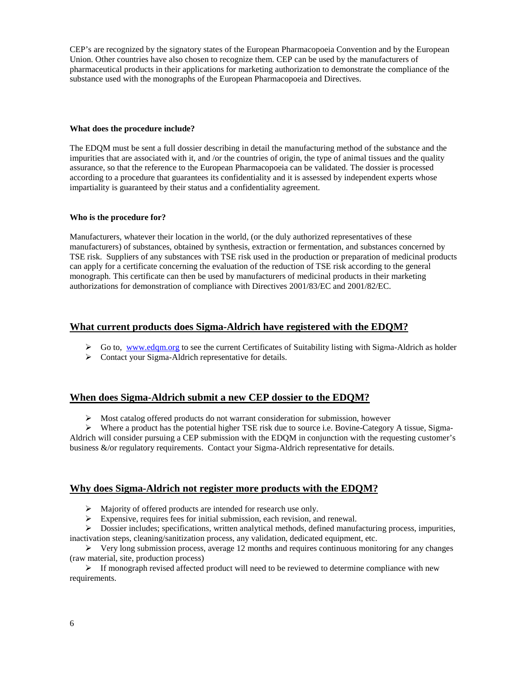CEP's are recognized by the signatory states of the European Pharmacopoeia Convention and by the European Union. Other countries have also chosen to recognize them. CEP can be used by the manufacturers of pharmaceutical products in their applications for marketing authorization to demonstrate the compliance of the substance used with the monographs of the European Pharmacopoeia and Directives.

#### **What does the procedure include?**

The EDQM must be sent a full dossier describing in detail the manufacturing method of the substance and the impurities that are associated with it, and /or the countries of origin, the type of animal tissues and the quality assurance, so that the reference to the European Pharmacopoeia can be validated. The dossier is processed according to a procedure that guarantees its confidentiality and it is assessed by independent experts whose impartiality is guaranteed by their status and a confidentiality agreement.

#### **Who is the procedure for?**

Manufacturers, whatever their location in the world, (or the duly authorized representatives of these manufacturers) of substances, obtained by synthesis, extraction or fermentation, and substances concerned by TSE risk. Suppliers of any substances with TSE risk used in the production or preparation of medicinal products can apply for a certificate concerning the evaluation of the reduction of TSE risk according to the general monograph. This certificate can then be used by manufacturers of medicinal products in their marketing authorizations for demonstration of compliance with Directives 2001/83/EC and 2001/82/EC.

#### **What current products does Sigma-Aldrich have registered with the EDQM?**

- $\triangleright$  Go to, www.edgm.org to see the current Certificates of Suitability listing with Sigma-Aldrich as holder
- > Contact your Sigma-Aldrich representative for details.

### **When does Sigma-Aldrich submit a new CEP dossier to the EDQM?**

 $\triangleright$  Most catalog offered products do not warrant consideration for submission, however

 $\triangleright$  Where a product has the potential higher TSE risk due to source i.e. Bovine-Category A tissue, Sigma-Aldrich will consider pursuing a CEP submission with the EDQM in conjunction with the requesting customer's business &/or regulatory requirements. Contact your Sigma-Aldrich representative for details.

#### **Why does Sigma-Aldrich not register more products with the EDQM?**

- Majority of offered products are intended for research use only.
- Expensive, requires fees for initial submission, each revision, and renewal.

Dossier includes; specifications, written analytical methods, defined manufacturing process, impurities,

inactivation steps, cleaning/sanitization process, any validation, dedicated equipment, etc.

 $\triangleright$  Very long submission process, average 12 months and requires continuous monitoring for any changes (raw material, site, production process)

 $\triangleright$  If monograph revised affected product will need to be reviewed to determine compliance with new requirements.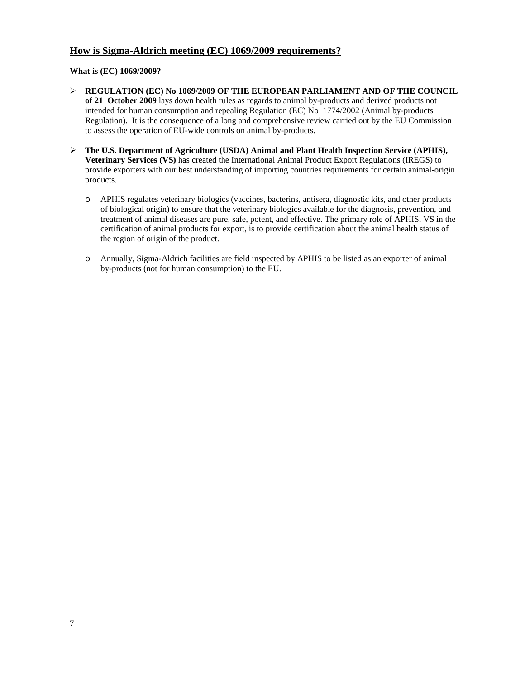## **How is Sigma-Aldrich meeting (EC) 1069/2009 requirements?**

#### **What is (EC) 1069/2009?**

- **REGULATION (EC) No 1069/2009 OF THE EUROPEAN PARLIAMENT AND OF THE COUNCIL of 21 October 2009** lays down health rules as regards to animal by-products and derived products not intended for human consumption and repealing Regulation (EC) No 1774/2002 (Animal by-products Regulation). It is the consequence of a long and comprehensive review carried out by the EU Commission to assess the operation of EU-wide controls on animal by-products.
- **The U.S. Department of Agriculture (USDA) Animal and Plant Health Inspection Service (APHIS), Veterinary Services (VS)** has created the International Animal Product Export Regulations (IREGS) to provide exporters with our best understanding of importing countries requirements for certain animal-origin products.
	- o APHIS regulates veterinary biologics (vaccines, bacterins, antisera, diagnostic kits, and other products of biological origin) to ensure that the veterinary biologics available for the diagnosis, prevention, and treatment of animal diseases are pure, safe, potent, and effective. The primary role of APHIS, VS in the certification of animal products for export, is to provide certification about the animal health status of the region of origin of the product.
	- o Annually, Sigma-Aldrich facilities are field inspected by APHIS to be listed as an exporter of animal by-products (not for human consumption) to the EU.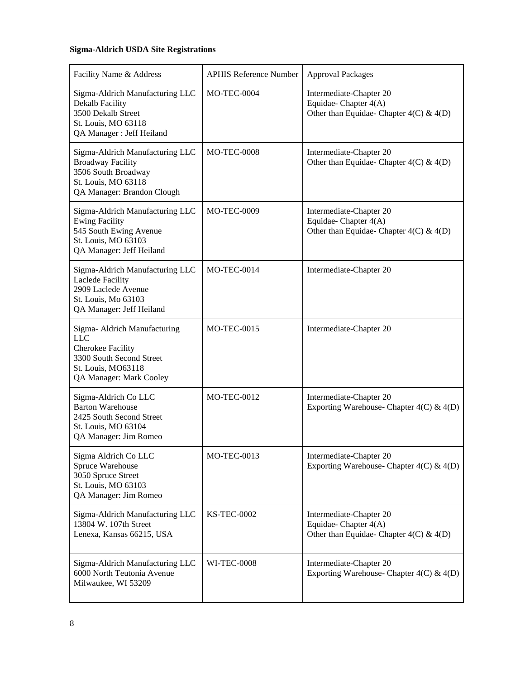## **Sigma-Aldrich USDA Site Registrations**

| Facility Name & Address                                                                                                                             | <b>APHIS Reference Number</b> | <b>Approval Packages</b>                                                                      |
|-----------------------------------------------------------------------------------------------------------------------------------------------------|-------------------------------|-----------------------------------------------------------------------------------------------|
| Sigma-Aldrich Manufacturing LLC<br>Dekalb Facility<br>3500 Dekalb Street<br>St. Louis, MO 63118<br>QA Manager : Jeff Heiland                        | <b>MO-TEC-0004</b>            | Intermediate-Chapter 20<br>Equidae-Chapter 4(A)<br>Other than Equidae-Chapter $4(C)$ & $4(D)$ |
| Sigma-Aldrich Manufacturing LLC<br><b>Broadway Facility</b><br>3506 South Broadway<br>St. Louis, MO 63118<br>QA Manager: Brandon Clough             | <b>MO-TEC-0008</b>            | Intermediate-Chapter 20<br>Other than Equidae-Chapter $4(C)$ & $4(D)$                         |
| Sigma-Aldrich Manufacturing LLC<br><b>Ewing Facility</b><br>545 South Ewing Avenue<br>St. Louis, MO 63103<br>QA Manager: Jeff Heiland               | <b>MO-TEC-0009</b>            | Intermediate-Chapter 20<br>Equidae-Chapter 4(A)<br>Other than Equidae-Chapter $4(C)$ & $4(D)$ |
| Sigma-Aldrich Manufacturing LLC<br><b>Laclede Facility</b><br>2909 Laclede Avenue<br>St. Louis, Mo 63103<br>QA Manager: Jeff Heiland                | <b>MO-TEC-0014</b>            | Intermediate-Chapter 20                                                                       |
| Sigma- Aldrich Manufacturing<br><b>LLC</b><br><b>Cherokee Facility</b><br>3300 South Second Street<br>St. Louis, MO63118<br>QA Manager: Mark Cooley | <b>MO-TEC-0015</b>            | Intermediate-Chapter 20                                                                       |
| Sigma-Aldrich Co LLC<br><b>Barton Warehouse</b><br>2425 South Second Street<br>St. Louis, MO 63104<br>QA Manager: Jim Romeo                         | <b>MO-TEC-0012</b>            | Intermediate-Chapter 20<br>Exporting Warehouse- Chapter $4(C)$ & $4(D)$                       |
| Sigma Aldrich Co LLC<br>Spruce Warehouse<br>3050 Spruce Street<br>St. Louis, MO 63103<br>QA Manager: Jim Romeo                                      | <b>MO-TEC-0013</b>            | Intermediate-Chapter 20<br>Exporting Warehouse- Chapter $4(C)$ & $4(D)$                       |
| Sigma-Aldrich Manufacturing LLC<br>13804 W. 107th Street<br>Lenexa, Kansas 66215, USA                                                               | <b>KS-TEC-0002</b>            | Intermediate-Chapter 20<br>Equidae-Chapter 4(A)<br>Other than Equidae-Chapter $4(C)$ & $4(D)$ |
| Sigma-Aldrich Manufacturing LLC<br>6000 North Teutonia Avenue<br>Milwaukee, WI 53209                                                                | <b>WI-TEC-0008</b>            | Intermediate-Chapter 20<br>Exporting Warehouse- Chapter 4(C) & 4(D)                           |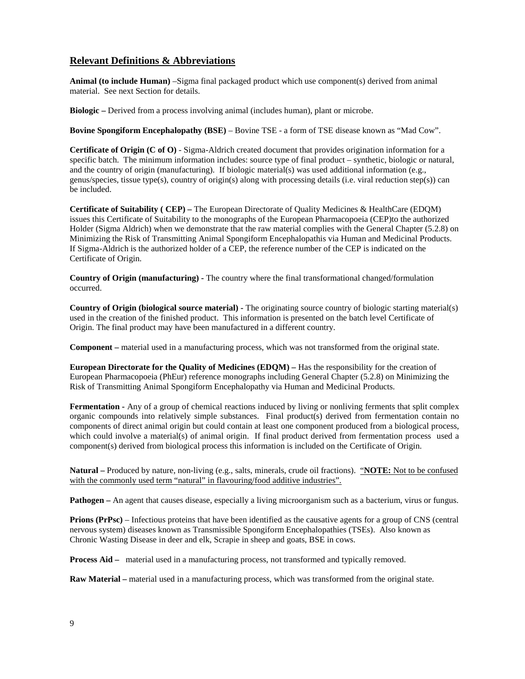## **Relevant Definitions & Abbreviations**

**Animal (to include Human)** –Sigma final packaged product which use component(s) derived from animal material. See next Section for details.

**Biologic –** Derived from a process involving animal (includes human), plant or microbe.

**Bovine Spongiform Encephalopathy (BSE)** – Bovine TSE - a form of TSE disease known as "Mad Cow".

**Certificate of Origin (C of O)** - Sigma-Aldrich created document that provides origination information for a specific batch. The minimum information includes: source type of final product – synthetic, biologic or natural, and the country of origin (manufacturing). If biologic material(s) was used additional information (e.g., genus/species, tissue type(s), country of origin(s) along with processing details (i.e. viral reduction step(s)) can be included.

**Certificate of Suitability ( CEP) –** The European Directorate of Quality Medicines & HealthCare (EDQM) issues this Certificate of Suitability to the monographs of the European Pharmacopoeia (CEP)to the authorized Holder (Sigma Aldrich) when we demonstrate that the raw material complies with the General Chapter (5.2.8) on Minimizing the Risk of Transmitting Animal Spongiform Encephalopathis via Human and Medicinal Products. If Sigma-Aldrich is the authorized holder of a CEP, the reference number of the CEP is indicated on the Certificate of Origin.

**Country of Origin (manufacturing) -** The country where the final transformational changed/formulation occurred.

**Country of Origin (biological source material) -** The originating source country of biologic starting material(s) used in the creation of the finished product. This information is presented on the batch level Certificate of Origin. The final product may have been manufactured in a different country.

**Component –** material used in a manufacturing process, which was not transformed from the original state.

**European Directorate for the Quality of Medicines (EDQM) –** Has the responsibility for the creation of European Pharmacopoeia (PhEur) reference monographs including General Chapter (5.2.8) on Minimizing the Risk of Transmitting Animal Spongiform Encephalopathy via Human and Medicinal Products.

**Fermentation -** Any of a group of chemical reactions induced by living or nonliving ferments that split complex organic compounds into relatively simple substances. Final product(s) derived from fermentation contain no components of direct animal origin but could contain at least one component produced from a biological process, which could involve a material(s) of animal origin. If final product derived from fermentation process used a component(s) derived from biological process this information is included on the Certificate of Origin.

**Natural –** Produced by nature, non-living (e.g., salts, minerals, crude oil fractions). "**NOTE:** Not to be confused with the commonly used term "natural" in flavouring/food additive industries".

**Pathogen** – An agent that causes disease, especially a living microorganism such as a bacterium, virus or fungus.

**Prions (PrPsc)** – Infectious proteins that have been identified as the causative agents for a group of CNS (central nervous system) diseases known as Transmissible Spongiform Encephalopathies (TSEs). Also known as Chronic Wasting Disease in deer and elk, Scrapie in sheep and goats, BSE in cows.

**Process Aid –** material used in a manufacturing process, not transformed and typically removed.

**Raw Material –** material used in a manufacturing process, which was transformed from the original state.